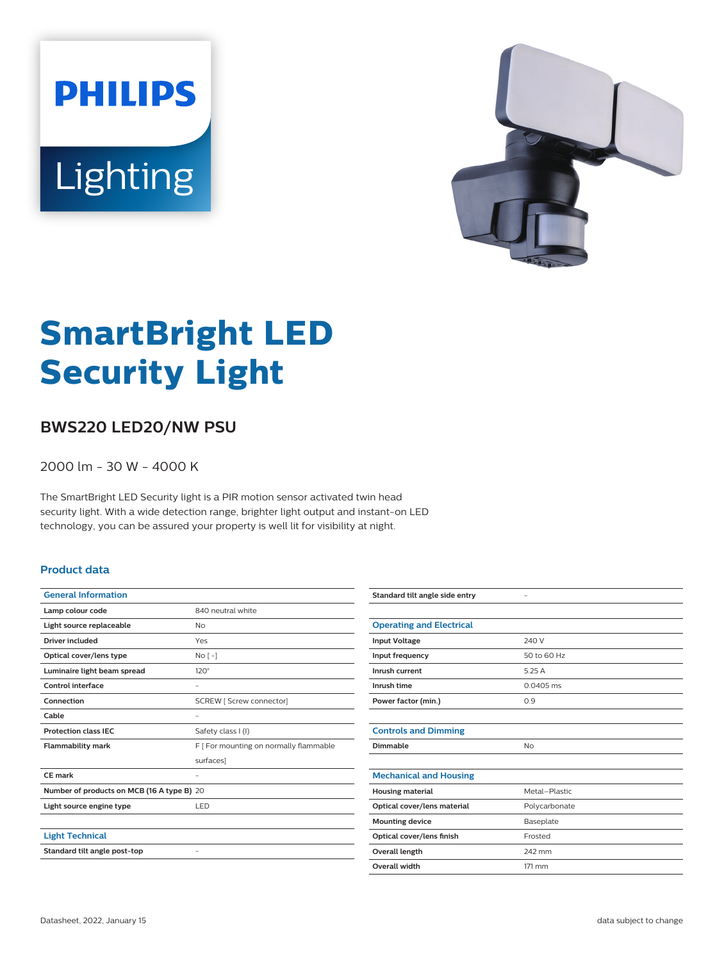# **PHILIPS** Lighting



# **SmartBright LED Security Light**

## **BWS220 LED20/NW PSU**

2000 lm - 30 W - 4000 K

The SmartBright LED Security light is a PIR motion sensor activated twin head security light. With a wide detection range, brighter light output and instant-on LED technology, you can be assured your property is well lit for visibility at night.

#### **Product data**

| <b>General Information</b>                 |                                        |  |
|--------------------------------------------|----------------------------------------|--|
| Lamp colour code                           | 840 neutral white                      |  |
| Light source replaceable                   | N <sub>0</sub>                         |  |
| <b>Driver included</b>                     | Yes                                    |  |
| Optical cover/lens type                    | No <sub>1</sub>                        |  |
| Luminaire light beam spread                | $120^\circ$                            |  |
| Control interface                          |                                        |  |
| Connection                                 | SCREW [ Screw connector]               |  |
| Cable                                      |                                        |  |
| <b>Protection class IEC</b>                | Safety class I (I)                     |  |
| <b>Flammability mark</b>                   | F   For mounting on normally flammable |  |
|                                            | surfaces]                              |  |
| CF mark                                    |                                        |  |
| Number of products on MCB (16 A type B) 20 |                                        |  |
| Light source engine type                   | LED                                    |  |
|                                            |                                        |  |
| <b>Light Technical</b>                     |                                        |  |
| Standard tilt angle post-top               |                                        |  |
|                                            |                                        |  |

| Standard tilt angle side entry  | ۰             |
|---------------------------------|---------------|
|                                 |               |
| <b>Operating and Electrical</b> |               |
| <b>Input Voltage</b>            | 240 V         |
| Input frequency                 | 50 to 60 Hz   |
| Inrush current                  | 5.25 A        |
| Inrush time                     | $0.0405$ ms   |
| Power factor (min.)             | 0.9           |
|                                 |               |
| <b>Controls and Dimming</b>     |               |
| Dimmable                        | <b>No</b>     |
|                                 |               |
| <b>Mechanical and Housing</b>   |               |
| <b>Housing material</b>         | Metal-Plastic |
| Optical cover/lens material     | Polycarbonate |
| <b>Mounting device</b>          | Baseplate     |
| Optical cover/lens finish       | Frosted       |
| <b>Overall length</b>           | 242 mm        |
| <b>Overall width</b>            | 171 mm        |
|                                 |               |